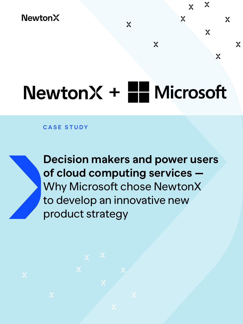## **NewtonX**

## $NewtonX + 2$  Microsoft

 $\chi$ 

 $\chi$ 

 $\boldsymbol{\chi}$ 

 $\boldsymbol{\chi}$ 

 $\boldsymbol{\chi}$ 

 $\chi$ 

 $\chi$ 

 $\mathbf{X}$ 

 $\boldsymbol{\chi}$ 

**CASE STUDY**



**Decision makers and power users of cloud computing services —** Why Microsoft chose NewtonX to develop an innovative new product strategy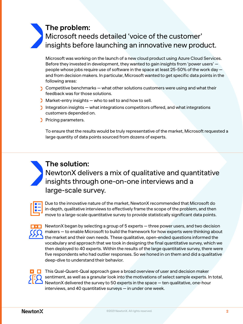## **The problem:**

Microsoft needs detailed 'voice of the customer' insights before launching an innovative new product.

Microsoft was working on the launch of a new cloud product using Azure Cloud Services. Before they invested in development, they wanted to gain insights from 'power users' people whose jobs require use of software in the space at least 25-50% of the work day and from decision makers. In particular, Microsoft wanted to get specific data points in the following areas:

- $\sum$  Competitive benchmarks what other solutions customers were using and what their feedback was for those solutions.
- Market-entry insights who to sell to and how to sell.
- Integration insights  $-$  what integrations competitors offered, and what integrations customers depended on.
- Pricing parameters.

**The solution:** 

large-scale survey.

To ensure that the results would be truly representative of the market, Microsoft requested a large quantity of data points sourced from dozens of experts.



Due to the innovative nature of the market, NewtonX recommended that Microsoft do in-depth, qualitative interviews to effectively frame the scope of the problem, and then move to a large-scale quantitative survey to provide statistically significant data points.

NewtonX delivers a mix of qualitative and quantitative

insights through one-on-one interviews and a

NewtonX began by selecting a group of 5 experts — three power users, and two decision makers — to enable Microsoft to build the framework for how experts were thinking about the market and their own needs. These qualitative, open-ended questions informed the vocabulary and approach that we took in designing the final quantitative survey, which we then deployed to 40 experts. Within the results of the large quantitative survey, there were five respondents who had outlier responses. So we honed in on them and did a qualitative deep-dive to understand their behavior.



 $\overline{\mathbf{z}}$   $\Box$  This Qual-Quant-Qual approach gave a broad overview of user and decision maker sentiment, as well as a granular look into the motivations of select sample experts. In total, NewtonX delivered the survey to 50 experts in the space — ten qualitative, one-hour interviews, and 40 quantitative surveys — in under one week.